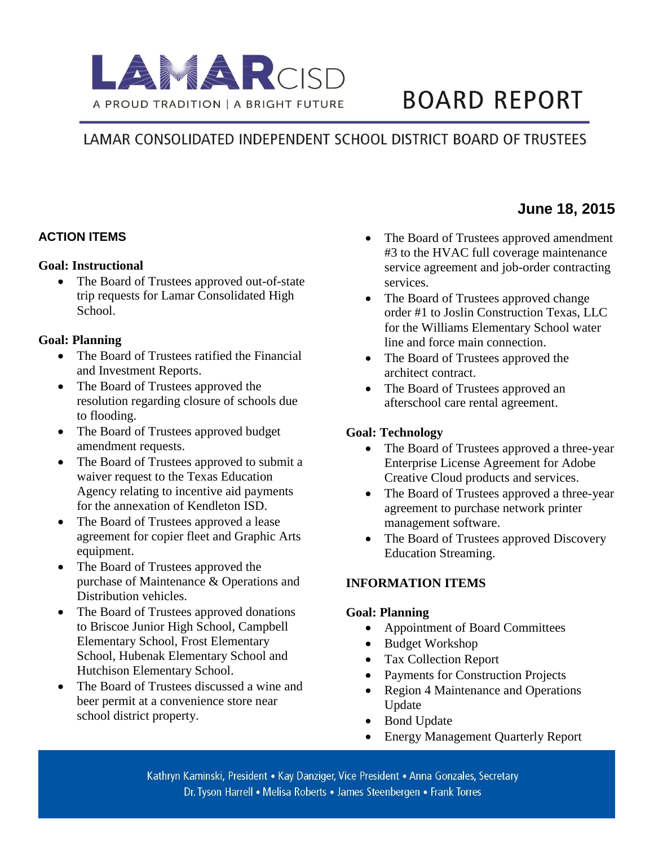

# **BOARD REPORT**

## LAMAR CONSOLIDATED INDEPENDENT SCHOOL DISTRICT BOARD OF TRUSTEES

#### **ACTION ITEMS**

#### **Goal: Instructional**

 The Board of Trustees approved out-of-state trip requests for Lamar Consolidated High School.

#### **Goal: Planning**

- The Board of Trustees ratified the Financial and Investment Reports.
- The Board of Trustees approved the resolution regarding closure of schools due to flooding.
- The Board of Trustees approved budget amendment requests.
- The Board of Trustees approved to submit a waiver request to the Texas Education Agency relating to incentive aid payments for the annexation of Kendleton ISD.
- The Board of Trustees approved a lease agreement for copier fleet and Graphic Arts equipment.
- The Board of Trustees approved the purchase of Maintenance & Operations and Distribution vehicles.
- The Board of Trustees approved donations to Briscoe Junior High School, Campbell Elementary School, Frost Elementary School, Hubenak Elementary School and Hutchison Elementary School.
- The Board of Trustees discussed a wine and beer permit at a convenience store near school district property.
- The Board of Trustees approved amendment #3 to the HVAC full coverage maintenance service agreement and job-order contracting services.
- The Board of Trustees approved change order #1 to Joslin Construction Texas, LLC for the Williams Elementary School water line and force main connection.
- The Board of Trustees approved the architect contract.
- The Board of Trustees approved an afterschool care rental agreement.

#### **Goal: Technology**

- The Board of Trustees approved a three-year Enterprise License Agreement for Adobe Creative Cloud products and services.
- The Board of Trustees approved a three-year agreement to purchase network printer management software.
- The Board of Trustees approved Discovery Education Streaming.

#### **INFORMATION ITEMS**

#### **Goal: Planning**

- Appointment of Board Committees
- Budget Workshop
- Tax Collection Report
- Payments for Construction Projects
- Region 4 Maintenance and Operations Update
- Bond Update
- Energy Management Quarterly Report

Kathryn Kaminski, President • Kay Danziger, Vice President • Anna Gonzales, Secretary Dr. Tyson Harrell • Melisa Roberts • James Steenbergen • Frank Torres

### **MAAJune 18, 2015**